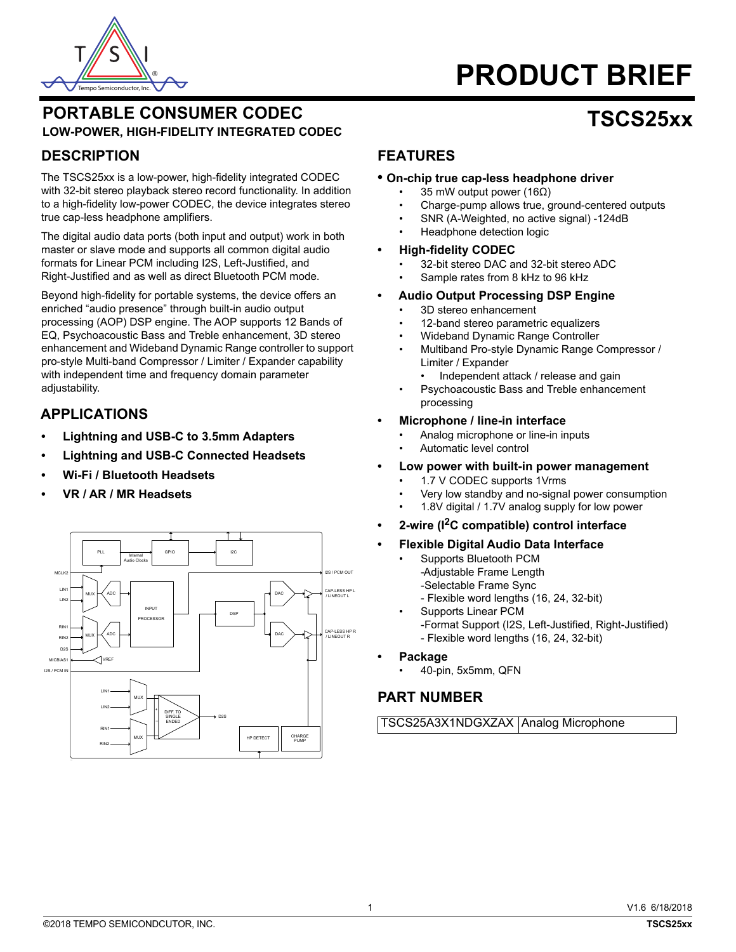

# **PRODUCT BRIEF**

**TSCS25xx**

# **PORTABLE CONSUMER CODEC LOW-POWER, HIGH-FIDELITY INTEGRATED CODEC**

# **DESCRIPTION**

The TSCS25xx is a low-power, high-fidelity integrated CODEC with 32-bit stereo playback stereo record functionality. In addition to a high-fidelity low-power CODEC, the device integrates stereo true cap-less headphone amplifiers.

The digital audio data ports (both input and output) work in both master or slave mode and supports all common digital audio formats for Linear PCM including I2S, Left-Justified, and Right-Justified and as well as direct Bluetooth PCM mode.

Beyond high-fidelity for portable systems, the device offers an enriched "audio presence" through built-in audio output processing (AOP) DSP engine. The AOP supports 12 Bands of EQ, Psychoacoustic Bass and Treble enhancement, 3D stereo enhancement and Wideband Dynamic Range controller to support pro-style Multi-band Compressor / Limiter / Expander capability with independent time and frequency domain parameter adjustability.

# **APPLICATIONS**

- **Lightning and USB-C to 3.5mm Adapters**
- **Lightning and USB-C Connected Headsets**
- **Wi-Fi / Bluetooth Headsets**
- **VR / AR / MR Headsets**



## **FEATURES**

- **On-chip true cap-less headphone driver**
	- 35 mW output power (16Ω)
	- Charge-pump allows true, ground-centered outputs
	- SNR (A-Weighted, no active signal) -124dB
	- Headphone detection logic

#### **• High-fidelity CODEC**

- 32-bit stereo DAC and 32-bit stereo ADC
- Sample rates from 8 kHz to 96 kHz

#### **• Audio Output Processing DSP Engine**

- 3D stereo enhancement
- 12-band stereo parametric equalizers
- Wideband Dynamic Range Controller
- Multiband Pro-style Dynamic Range Compressor / Limiter / Expander
- Independent attack / release and gain • Psychoacoustic Bass and Treble enhancement

#### **• Microphone / line-in interface**

- Analog microphone or line-in inputs
- Automatic level control

processing

- **Low power with built-in power management**
	- 1.7 V CODEC supports 1Vrms
	- Very low standby and no-signal power consumption
	- 1.8V digital / 1.7V analog supply for low power
- **2-wire (I2C compatible) control interface**
- **Flexible Digital Audio Data Interface**
	- Supports Bluetooth PCM -Adjustable Frame Length -Selectable Frame Sync
		- Flexible word lengths (16, 24, 32-bit)
	- Supports Linear PCM -Format Support (I2S, Left-Justified, Right-Justified) - Flexible word lengths (16, 24, 32-bit)
- **Package** 
	- 40-pin, 5x5mm, QFN

# **PART NUMBER**

TSCS25A3X1NDGXZAX Analog Microphone